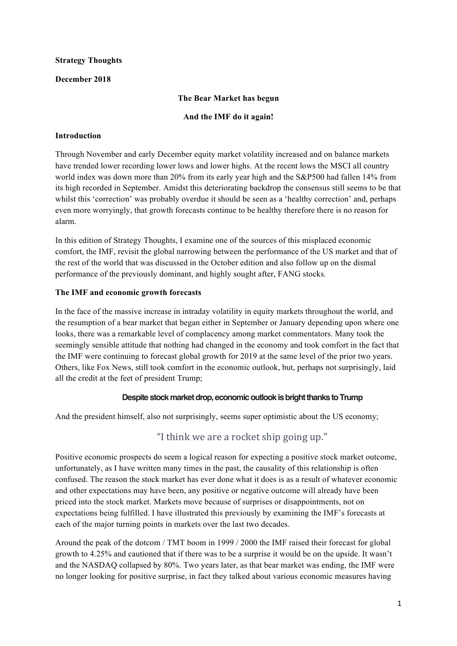# **Strategy Thoughts**

# **December 2018**

# **The Bear Market has begun**

### **And the IMF do it again!**

# **Introduction**

Through November and early December equity market volatility increased and on balance markets have trended lower recording lower lows and lower highs. At the recent lows the MSCI all country world index was down more than 20% from its early year high and the S&P500 had fallen 14% from its high recorded in September. Amidst this deteriorating backdrop the consensus still seems to be that whilst this 'correction' was probably overdue it should be seen as a 'healthy correction' and, perhaps even more worryingly, that growth forecasts continue to be healthy therefore there is no reason for alarm.

In this edition of Strategy Thoughts, I examine one of the sources of this misplaced economic comfort, the IMF, revisit the global narrowing between the performance of the US market and that of the rest of the world that was discussed in the October edition and also follow up on the dismal performance of the previously dominant, and highly sought after, FANG stocks.

# **The IMF and economic growth forecasts**

In the face of the massive increase in intraday volatility in equity markets throughout the world, and the resumption of a bear market that began either in September or January depending upon where one looks, there was a remarkable level of complacency among market commentators. Many took the seemingly sensible attitude that nothing had changed in the economy and took comfort in the fact that the IMF were continuing to forecast global growth for 2019 at the same level of the prior two years. Others, like Fox News, still took comfort in the economic outlook, but, perhaps not surprisingly, laid all the credit at the feet of president Trump;

# **Despite stock market drop, economic outlook is bright thanks to Trump**

And the president himself, also not surprisingly, seems super optimistic about the US economy;

# "I think we are a rocket ship going up."

Positive economic prospects do seem a logical reason for expecting a positive stock market outcome, unfortunately, as I have written many times in the past, the causality of this relationship is often confused. The reason the stock market has ever done what it does is as a result of whatever economic and other expectations may have been, any positive or negative outcome will already have been priced into the stock market. Markets move because of surprises or disappointments, not on expectations being fulfilled. I have illustrated this previously by examining the IMF's forecasts at each of the major turning points in markets over the last two decades.

Around the peak of the dotcom / TMT boom in 1999 / 2000 the IMF raised their forecast for global growth to 4.25% and cautioned that if there was to be a surprise it would be on the upside. It wasn't and the NASDAQ collapsed by 80%. Two years later, as that bear market was ending, the IMF were no longer looking for positive surprise, in fact they talked about various economic measures having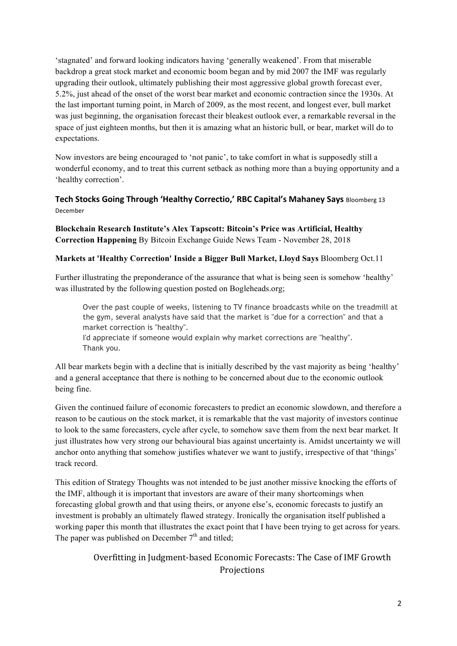'stagnated' and forward looking indicators having 'generally weakened'. From that miserable backdrop a great stock market and economic boom began and by mid 2007 the IMF was regularly upgrading their outlook, ultimately publishing their most aggressive global growth forecast ever, 5.2%, just ahead of the onset of the worst bear market and economic contraction since the 1930s. At the last important turning point, in March of 2009, as the most recent, and longest ever, bull market was just beginning, the organisation forecast their bleakest outlook ever, a remarkable reversal in the space of just eighteen months, but then it is amazing what an historic bull, or bear, market will do to expectations.

Now investors are being encouraged to 'not panic', to take comfort in what is supposedly still a wonderful economy, and to treat this current setback as nothing more than a buying opportunity and a 'healthy correction'.

# **Tech Stocks Going Through 'Healthy Correctio,' RBC Capital's Mahaney Says** Bloomberg 13 December

**Blockchain Research Institute's Alex Tapscott: Bitcoin's Price was Artificial, Healthy Correction Happening** By Bitcoin Exchange Guide News Team - November 28, 2018

# **Markets at 'Healthy Correction' Inside a Bigger Bull Market, Lloyd Says** Bloomberg Oct.11

Further illustrating the preponderance of the assurance that what is being seen is somehow 'healthy' was illustrated by the following question posted on Bogleheads.org;

Over the past couple of weeks, listening to TV finance broadcasts while on the treadmill at the gym, several analysts have said that the market is "due for a correction" and that a market correction is "healthy".

I'd appreciate if someone would explain why market corrections are "healthy". Thank you.

All bear markets begin with a decline that is initially described by the vast majority as being 'healthy' and a general acceptance that there is nothing to be concerned about due to the economic outlook being fine.

Given the continued failure of economic forecasters to predict an economic slowdown, and therefore a reason to be cautious on the stock market, it is remarkable that the vast majority of investors continue to look to the same forecasters, cycle after cycle, to somehow save them from the next bear market. It just illustrates how very strong our behavioural bias against uncertainty is. Amidst uncertainty we will anchor onto anything that somehow justifies whatever we want to justify, irrespective of that 'things' track record.

This edition of Strategy Thoughts was not intended to be just another missive knocking the efforts of the IMF, although it is important that investors are aware of their many shortcomings when forecasting global growth and that using theirs, or anyone else's, economic forecasts to justify an investment is probably an ultimately flawed strategy. Ironically the organisation itself published a working paper this month that illustrates the exact point that I have been trying to get across for years. The paper was published on December  $7<sup>th</sup>$  and titled;

> Overfitting in Judgment-based Economic Forecasts: The Case of IMF Growth Projections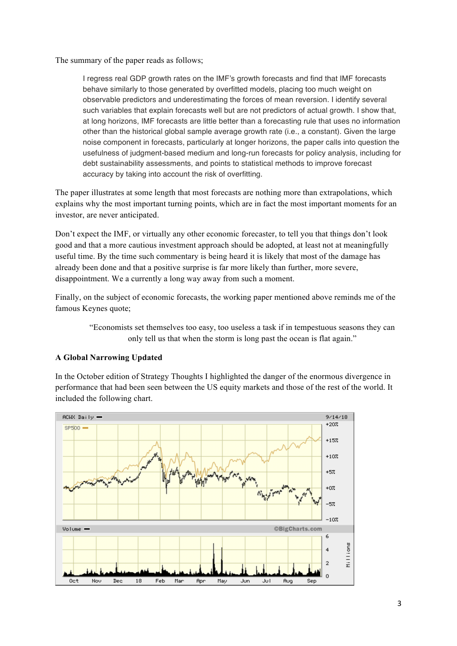The summary of the paper reads as follows;

I regress real GDP growth rates on the IMF's growth forecasts and find that IMF forecasts behave similarly to those generated by overfitted models, placing too much weight on observable predictors and underestimating the forces of mean reversion. I identify several such variables that explain forecasts well but are not predictors of actual growth. I show that, at long horizons, IMF forecasts are little better than a forecasting rule that uses no information other than the historical global sample average growth rate (i.e., a constant). Given the large noise component in forecasts, particularly at longer horizons, the paper calls into question the usefulness of judgment-based medium and long-run forecasts for policy analysis, including for debt sustainability assessments, and points to statistical methods to improve forecast accuracy by taking into account the risk of overfitting.

The paper illustrates at some length that most forecasts are nothing more than extrapolations, which explains why the most important turning points, which are in fact the most important moments for an investor, are never anticipated.

Don't expect the IMF, or virtually any other economic forecaster, to tell you that things don't look good and that a more cautious investment approach should be adopted, at least not at meaningfully useful time. By the time such commentary is being heard it is likely that most of the damage has already been done and that a positive surprise is far more likely than further, more severe, disappointment. We a currently a long way away from such a moment.

Finally, on the subject of economic forecasts, the working paper mentioned above reminds me of the famous Keynes quote;

> "Economists set themselves too easy, too useless a task if in tempestuous seasons they can only tell us that when the storm is long past the ocean is flat again."

# **A Global Narrowing Updated**

In the October edition of Strategy Thoughts I highlighted the danger of the enormous divergence in performance that had been seen between the US equity markets and those of the rest of the world. It included the following chart.

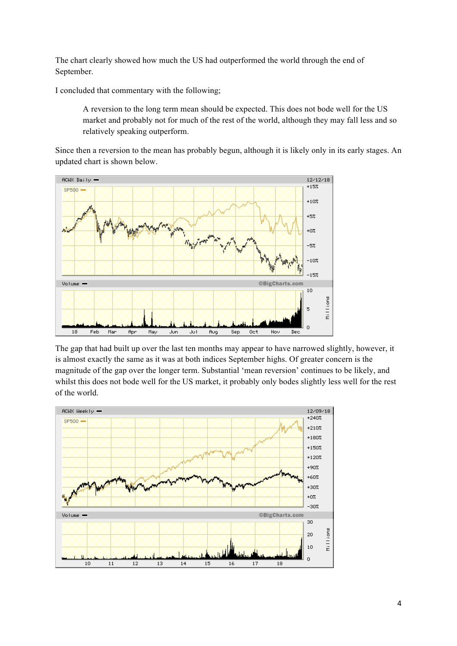The chart clearly showed how much the US had outperformed the world through the end of September.

I concluded that commentary with the following;

A reversion to the long term mean should be expected. This does not bode well for the US market and probably not for much of the rest of the world, although they may fall less and so relatively speaking outperform.

Since then a reversion to the mean has probably begun, although it is likely only in its early stages. An updated chart is shown below.



The gap that had built up over the last ten months may appear to have narrowed slightly, however, it is almost exactly the same as it was at both indices September highs. Of greater concern is the magnitude of the gap over the longer term. Substantial 'mean reversion' continues to be likely, and whilst this does not bode well for the US market, it probably only bodes slightly less well for the rest of the world.

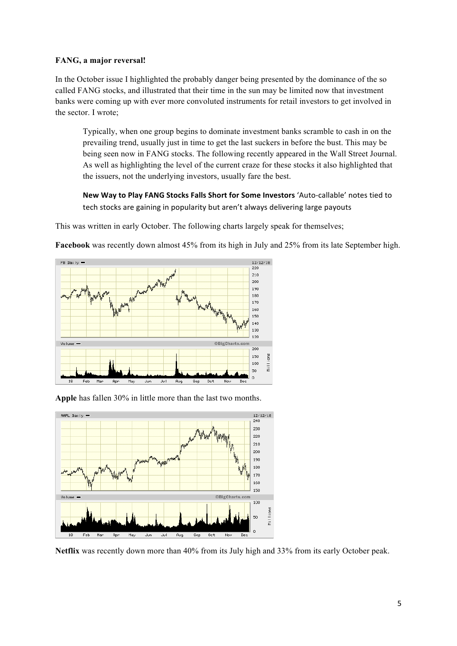### **FANG, a major reversal!**

In the October issue I highlighted the probably danger being presented by the dominance of the so called FANG stocks, and illustrated that their time in the sun may be limited now that investment banks were coming up with ever more convoluted instruments for retail investors to get involved in the sector. I wrote;

Typically, when one group begins to dominate investment banks scramble to cash in on the prevailing trend, usually just in time to get the last suckers in before the bust. This may be being seen now in FANG stocks. The following recently appeared in the Wall Street Journal. As well as highlighting the level of the current craze for these stocks it also highlighted that the issuers, not the underlying investors, usually fare the best.

New Way to Play FANG Stocks Falls Short for Some Investors 'Auto-callable' notes tied to tech stocks are gaining in popularity but aren't always delivering large payouts

This was written in early October. The following charts largely speak for themselves;

**Facebook** was recently down almost 45% from its high in July and 25% from its late September high.



**Apple** has fallen 30% in little more than the last two months.



**Netflix** was recently down more than 40% from its July high and 33% from its early October peak.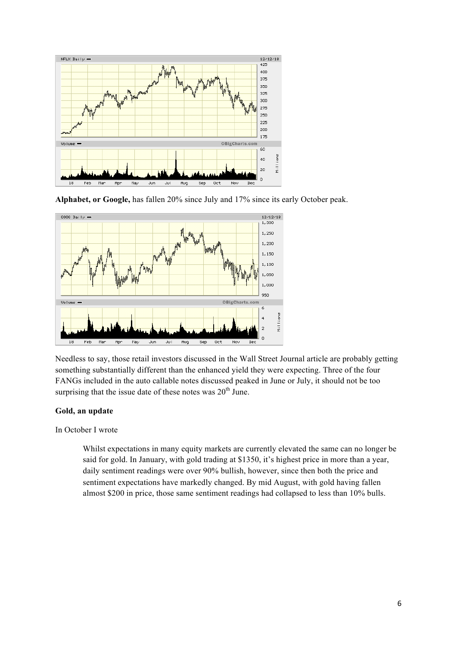

**Alphabet, or Google,** has fallen 20% since July and 17% since its early October peak.



Needless to say, those retail investors discussed in the Wall Street Journal article are probably getting something substantially different than the enhanced yield they were expecting. Three of the four FANGs included in the auto callable notes discussed peaked in June or July, it should not be too surprising that the issue date of these notes was 20<sup>th</sup> June.

### **Gold, an update**

In October I wrote

Whilst expectations in many equity markets are currently elevated the same can no longer be said for gold. In January, with gold trading at \$1350, it's highest price in more than a year, daily sentiment readings were over 90% bullish, however, since then both the price and sentiment expectations have markedly changed. By mid August, with gold having fallen almost \$200 in price, those same sentiment readings had collapsed to less than 10% bulls.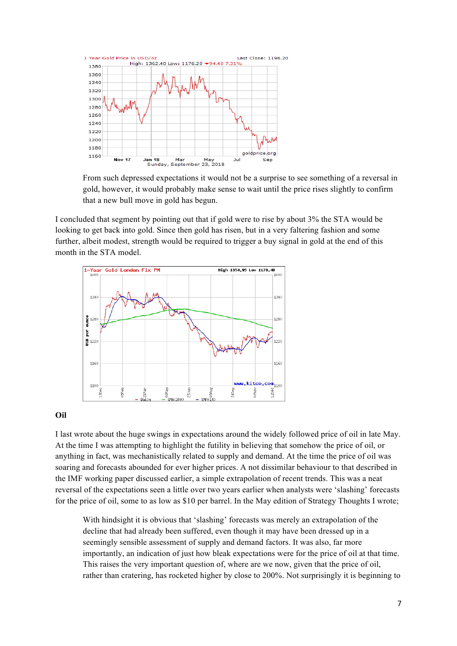

From such depressed expectations it would not be a surprise to see something of a reversal in gold, however, it would probably make sense to wait until the price rises slightly to confirm that a new bull move in gold has begun.

I concluded that segment by pointing out that if gold were to rise by about 3% the STA would be looking to get back into gold. Since then gold has risen, but in a very faltering fashion and some further, albeit modest, strength would be required to trigger a buy signal in gold at the end of this month in the STA model.



### **Oil**

I last wrote about the huge swings in expectations around the widely followed price of oil in late May. At the time I was attempting to highlight the futility in believing that somehow the price of oil, or anything in fact, was mechanistically related to supply and demand. At the time the price of oil was soaring and forecasts abounded for ever higher prices. A not dissimilar behaviour to that described in the IMF working paper discussed earlier, a simple extrapolation of recent trends. This was a neat reversal of the expectations seen a little over two years earlier when analysts were 'slashing' forecasts for the price of oil, some to as low as \$10 per barrel. In the May edition of Strategy Thoughts I wrote;

With hindsight it is obvious that 'slashing' forecasts was merely an extrapolation of the decline that had already been suffered, even though it may have been dressed up in a seemingly sensible assessment of supply and demand factors. It was also, far more importantly, an indication of just how bleak expectations were for the price of oil at that time. This raises the very important question of, where are we now, given that the price of oil, rather than cratering, has rocketed higher by close to 200%. Not surprisingly it is beginning to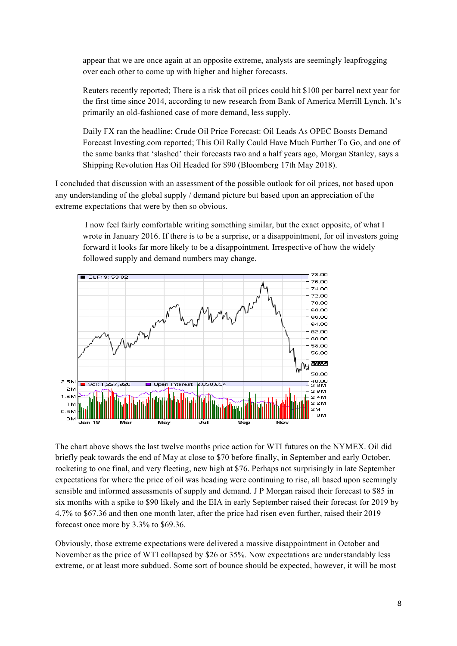appear that we are once again at an opposite extreme, analysts are seemingly leapfrogging over each other to come up with higher and higher forecasts.

Reuters recently reported; There is a risk that oil prices could hit \$100 per barrel next year for the first time since 2014, according to new research from Bank of America Merrill Lynch. It's primarily an old-fashioned case of more demand, less supply.

Daily FX ran the headline; Crude Oil Price Forecast: Oil Leads As OPEC Boosts Demand Forecast Investing.com reported; This Oil Rally Could Have Much Further To Go, and one of the same banks that 'slashed' their forecasts two and a half years ago, Morgan Stanley, says a Shipping Revolution Has Oil Headed for \$90 (Bloomberg 17th May 2018).

I concluded that discussion with an assessment of the possible outlook for oil prices, not based upon any understanding of the global supply / demand picture but based upon an appreciation of the extreme expectations that were by then so obvious.

 I now feel fairly comfortable writing something similar, but the exact opposite, of what I wrote in January 2016. If there is to be a surprise, or a disappointment, for oil investors going forward it looks far more likely to be a disappointment. Irrespective of how the widely followed supply and demand numbers may change.



The chart above shows the last twelve months price action for WTI futures on the NYMEX. Oil did briefly peak towards the end of May at close to \$70 before finally, in September and early October, rocketing to one final, and very fleeting, new high at \$76. Perhaps not surprisingly in late September expectations for where the price of oil was heading were continuing to rise, all based upon seemingly sensible and informed assessments of supply and demand. J P Morgan raised their forecast to \$85 in six months with a spike to \$90 likely and the EIA in early September raised their forecast for 2019 by 4.7% to \$67.36 and then one month later, after the price had risen even further, raised their 2019 forecast once more by 3.3% to \$69.36.

Obviously, those extreme expectations were delivered a massive disappointment in October and November as the price of WTI collapsed by \$26 or 35%. Now expectations are understandably less extreme, or at least more subdued. Some sort of bounce should be expected, however, it will be most